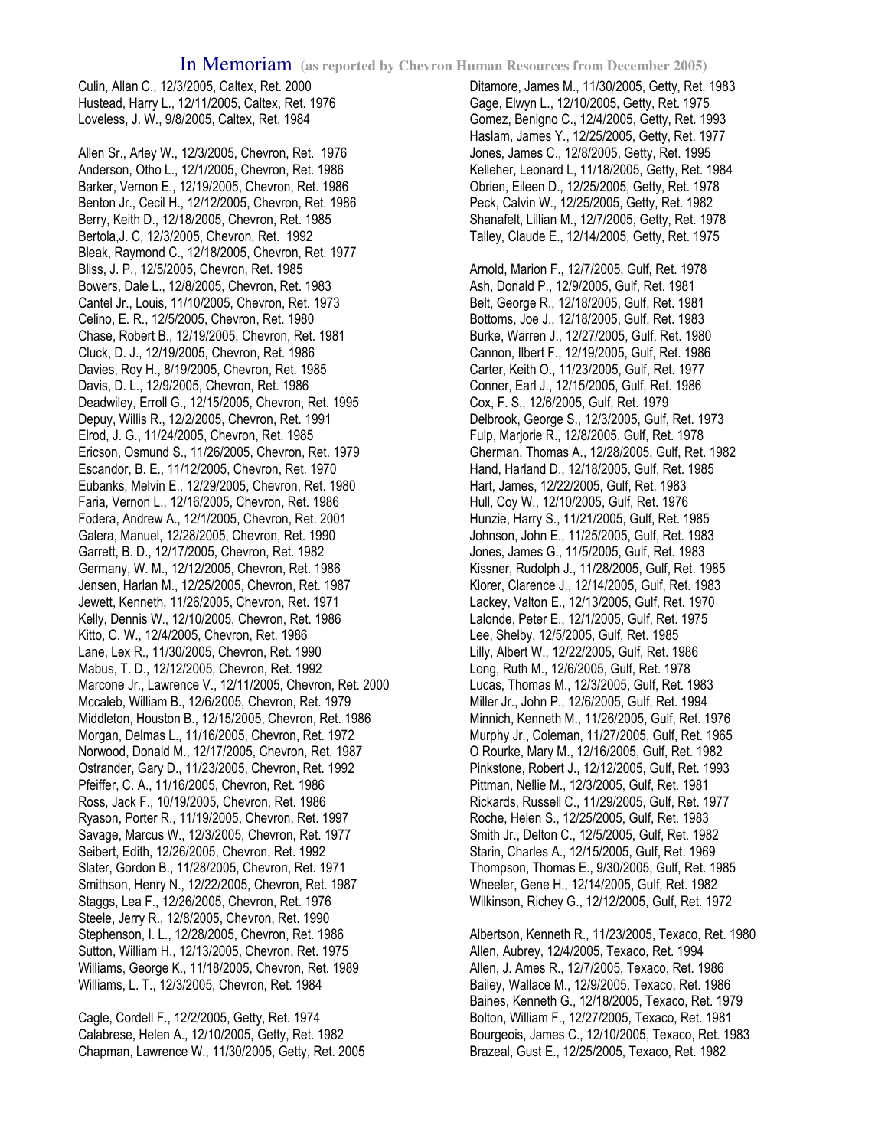Culin, Allan C., 12/3/2005, Caltex, Ret. 2000 Hustead, Harry L., 12/11/2005, Caltex, Ret. 1976 Loveless, J. W., 9/8/2005, Caltex, Ret. 1984

Allen Sr., Arley W., 12/3/2005, Chevron, Ret. 1976 Anderson, Otho L., 12/1/2005, Chevron, Ret. 1986 Barker, Vernon E., 12/19/2005, Chevron, Ret. 1986 Benton Jr., Cecil H., 12/12/2005, Chevron, Ret. 1986 Berry, Keith D., 12/18/2005, Chevron, Ret. 1985 Bertola,J. C, 12/3/2005, Chevron, Ret. 1992 Bleak, Raymond C., 12/18/2005, Chevron, Ret. 1977 Bliss, J. P., 12/5/2005, Chevron, Ret. 1985 Bowers, Dale L., 12/8/2005, Chevron, Ret. 1983 Cantel Jr., Louis, 11/10/2005, Chevron, Ret. 1973 Celino, E. R., 12/5/2005, Chevron, Ret. 1980 Chase, Robert B., 12/19/2005, Chevron, Ret. 1981 Cluck, D. J., 12/19/2005, Chevron, Ret. 1986 Davies, Roy H., 8/19/2005, Chevron, Ret. 1985 Davis, D. L., 12/9/2005, Chevron, Ret. 1986 Deadwiley, Erroll G., 12/15/2005, Chevron, Ret. 1995 Depuy, Willis R., 12/2/2005, Chevron, Ret. 1991 Elrod, J. G., 11/24/2005, Chevron, Ret. 1985 Ericson, Osmund S., 11/26/2005, Chevron, Ret. 1979 Escandor, B. E., 11/12/2005, Chevron, Ret. 1970 Eubanks, Melvin E., 12/29/2005, Chevron, Ret. 1980 Faria, Vernon L., 12/16/2005, Chevron, Ret. 1986 Fodera, Andrew A., 12/1/2005, Chevron, Ret. 2001 Galera, Manuel, 12/28/2005, Chevron, Ret. 1990 Garrett, B. D., 12/17/2005, Chevron, Ret. 1982 Germany, W. M., 12/12/2005, Chevron, Ret. 1986 Jensen, Harlan M., 12/25/2005, Chevron, Ret. 1987 Jewett, Kenneth, 11/26/2005, Chevron, Ret. 1971 Kelly, Dennis W., 12/10/2005, Chevron, Ret. 1986 Kitto, C. W., 12/4/2005, Chevron, Ret. 1986 Lane, Lex R., 11/30/2005, Chevron, Ret. 1990 Mabus, T. D., 12/12/2005, Chevron, Ret. 1992 Marcone Jr., Lawrence V., 12/11/2005, Chevron, Ret. 2000 Mccaleb, William B., 12/6/2005, Chevron, Ret. 1979 Middleton, Houston B., 12/15/2005, Chevron, Ret. 1986 Morgan, Delmas L., 11/16/2005, Chevron, Ret. 1972 Norwood, Donald M., 12/17/2005, Chevron, Ret. 1987 Ostrander, Gary D., 11/23/2005, Chevron, Ret. 1992 Pfeiffer, C. A., 11/16/2005, Chevron, Ret. 1986 Ross, Jack F., 10/19/2005, Chevron, Ret. 1986 Ryason, Porter R., 11/19/2005, Chevron, Ret. 1997 Savage, Marcus W., 12/3/2005, Chevron, Ret. 1977 Seibert, Edith, 12/26/2005, Chevron, Ret. 1992 Slater, Gordon B., 11/28/2005, Chevron, Ret. 1971 Smithson, Henry N., 12/22/2005, Chevron, Ret. 1987 Staggs, Lea F., 12/26/2005, Chevron, Ret. 1976 Steele, Jerry R., 12/8/2005, Chevron, Ret. 1990 Stephenson, I. L., 12/28/2005, Chevron, Ret. 1986 Sutton, William H., 12/13/2005, Chevron, Ret. 1975 Williams, George K., 11/18/2005, Chevron, Ret. 1989 Williams, L. T., 12/3/2005, Chevron, Ret. 1984

Cagle, Cordell F., 12/2/2005, Getty, Ret. 1974 Calabrese, Helen A., 12/10/2005, Getty, Ret. 1982 Chapman, Lawrence W., 11/30/2005, Getty, Ret. 2005

Ditamore, James M., 11/30/2005, Getty, Ret. 1983 Gage, Elwyn L., 12/10/2005, Getty, Ret. 1975 Gomez, Benigno C., 12/4/2005, Getty, Ret. 1993 Haslam, James Y., 12/25/2005, Getty, Ret. 1977 Jones, James C., 12/8/2005, Getty, Ret. 1995 Kelleher, Leonard L, 11/18/2005, Getty, Ret. 1984 Obrien, Eileen D., 12/25/2005, Getty, Ret. 1978 Peck, Calvin W., 12/25/2005, Getty, Ret. 1982 Shanafelt, Lillian M., 12/7/2005, Getty, Ret. 1978 Talley, Claude E., 12/14/2005, Getty, Ret. 1975 Arnold, Marion F., 12/7/2005, Gulf, Ret. 1978 Ash, Donald P., 12/9/2005, Gulf, Ret. 1981 Belt, George R., 12/18/2005, Gulf, Ret. 1981 Bottoms, Joe J., 12/18/2005, Gulf, Ret. 1983 Burke, Warren J., 12/27/2005, Gulf, Ret. 1980 Cannon, Ilbert F., 12/19/2005, Gulf, Ret. 1986 Carter, Keith O., 11/23/2005, Gulf, Ret. 1977 Conner, Earl J., 12/15/2005, Gulf, Ret. 1986 Cox, F. S., 12/6/2005, Gulf, Ret. 1979 Delbrook, George S., 12/3/2005, Gulf, Ret. 1973 Fulp, Marjorie R., 12/8/2005, Gulf, Ret. 1978 Gherman, Thomas A., 12/28/2005, Gulf, Ret. 1982 Hand, Harland D., 12/18/2005, Gulf, Ret. 1985 Hart, James, 12/22/2005, Gulf, Ret. 1983 Hull, Coy W., 12/10/2005, Gulf, Ret. 1976 Hunzie, Harry S., 11/21/2005, Gulf, Ret. 1985 Johnson, John E., 11/25/2005, Gulf, Ret. 1983 Jones, James G., 11/5/2005, Gulf, Ret. 1983 Kissner, Rudolph J., 11/28/2005, Gulf, Ret. 1985 Klorer, Clarence J., 12/14/2005, Gulf, Ret. 1983 Lackey, Valton E., 12/13/2005, Gulf, Ret. 1970 Lalonde, Peter E., 12/1/2005, Gulf, Ret. 1975 Lee, Shelby, 12/5/2005, Gulf, Ret. 1985 Lilly, Albert W., 12/22/2005, Gulf, Ret. 1986 Long, Ruth M., 12/6/2005, Gulf, Ret. 1978 Lucas, Thomas M., 12/3/2005, Gulf, Ret. 1983 Miller Jr., John P., 12/6/2005, Gulf, Ret. 1994 Minnich, Kenneth M., 11/26/2005, Gulf, Ret. 1976 Murphy Jr., Coleman, 11/27/2005, Gulf, Ret. 1965 O Rourke, Mary M., 12/16/2005, Gulf, Ret. 1982 Pinkstone, Robert J., 12/12/2005, Gulf, Ret. 1993 Pittman, Nellie M., 12/3/2005, Gulf, Ret. 1981 Rickards, Russell C., 11/29/2005, Gulf, Ret. 1977 Roche, Helen S., 12/25/2005, Gulf, Ret. 1983 Smith Jr., Delton C., 12/5/2005, Gulf, Ret. 1982 Starin, Charles A., 12/15/2005, Gulf, Ret. 1969 Thompson, Thomas E., 9/30/2005, Gulf, Ret. 1985 Wheeler, Gene H., 12/14/2005, Gulf, Ret. 1982 Wilkinson, Richey G., 12/12/2005, Gulf, Ret. 1972

Albertson, Kenneth R., 11/23/2005, Texaco, Ret. 1980 Allen, Aubrey, 12/4/2005, Texaco, Ret. 1994 Allen, J. Ames R., 12/7/2005, Texaco, Ret. 1986 Bailey, Wallace M., 12/9/2005, Texaco, Ret. 1986 Baines, Kenneth G., 12/18/2005, Texaco, Ret. 1979 Bolton, William F., 12/27/2005, Texaco, Ret. 1981 Bourgeois, James C., 12/10/2005, Texaco, Ret. 1983 Brazeal, Gust E., 12/25/2005, Texaco, Ret. 1982